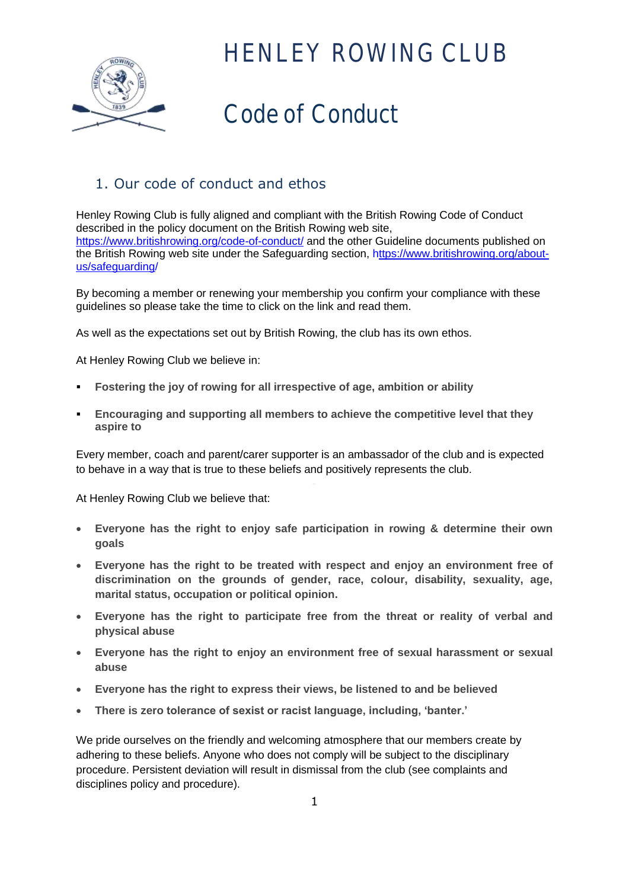

## Code of Conduct

### 1. Our code of conduct and ethos

Henley Rowing Club is fully aligned and compliant with the British Rowing Code of Conduct described in the policy document on the British Rowing web site, <https://www.britishrowing.org/code-of-conduct/> and the other Guideline documents published on the British Rowing web site under the Safeguarding section, [https://www.britishrowing.org/about](https://www.britishrowing.org/about-us/safeguarding/)[us/safeguarding/](https://www.britishrowing.org/about-us/safeguarding/)

By becoming a member or renewing your membership you confirm your compliance with these guidelines so please take the time to click on the link and read them.

As well as the expectations set out by British Rowing, the club has its own ethos.

At Henley Rowing Club we believe in:

- **Fostering the joy of rowing for all irrespective of age, ambition or ability**
- **Encouraging and supporting all members to achieve the competitive level that they aspire to**

Every member, coach and parent/carer supporter is an ambassador of the club and is expected to behave in a way that is true to these beliefs and positively represents the club.

At Henley Rowing Club we believe that:

- **Everyone has the right to enjoy safe participation in rowing & determine their own goals**
- **Everyone has the right to be treated with respect and enjoy an environment free of discrimination on the grounds of gender, race, colour, disability, sexuality, age, marital status, occupation or political opinion.**
- **Everyone has the right to participate free from the threat or reality of verbal and physical abuse**
- **Everyone has the right to enjoy an environment free of sexual harassment or sexual abuse**
- **Everyone has the right to express their views, be listened to and be believed**
- **There is zero tolerance of sexist or racist language, including, 'banter.'**

We pride ourselves on the friendly and welcoming atmosphere that our members create by adhering to these beliefs. Anyone who does not comply will be subject to the disciplinary procedure. Persistent deviation will result in dismissal from the club (see complaints and disciplines policy and procedure).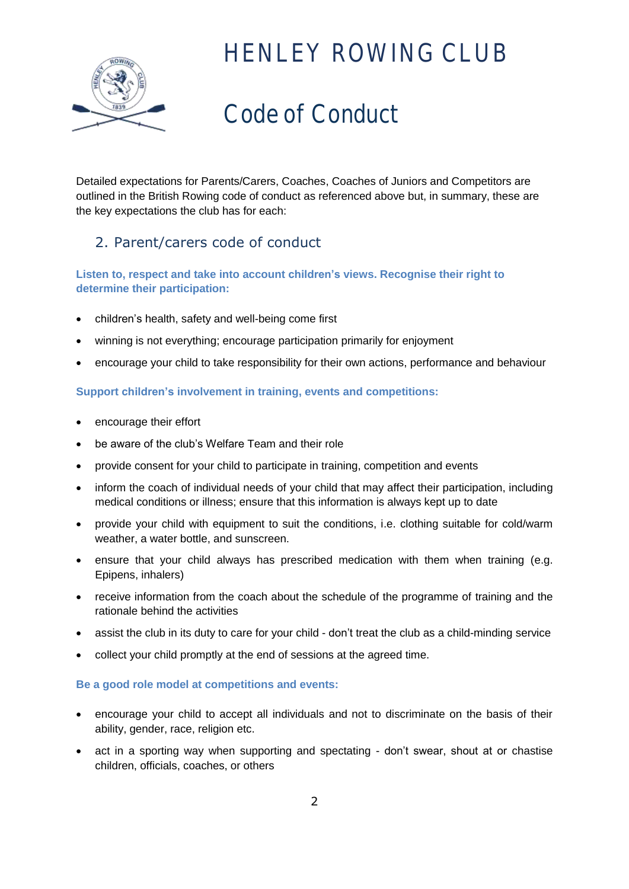

# Code of Conduct

Detailed expectations for Parents/Carers, Coaches, Coaches of Juniors and Competitors are outlined in the British Rowing code of conduct as referenced above but, in summary, these are the key expectations the club has for each:

### 2. Parent/carers code of conduct

### **Listen to, respect and take into account children's views. Recognise their right to determine their participation:**

- children's health, safety and well-being come first
- winning is not everything; encourage participation primarily for enjoyment
- encourage your child to take responsibility for their own actions, performance and behaviour

#### **Support children's involvement in training, events and competitions:**

- encourage their effort
- be aware of the club's Welfare Team and their role
- provide consent for your child to participate in training, competition and events
- inform the coach of individual needs of your child that may affect their participation, including medical conditions or illness; ensure that this information is always kept up to date
- provide your child with equipment to suit the conditions, i.e. clothing suitable for cold/warm weather, a water bottle, and sunscreen.
- ensure that your child always has prescribed medication with them when training (e.g. Epipens, inhalers)
- receive information from the coach about the schedule of the programme of training and the rationale behind the activities
- assist the club in its duty to care for your child don't treat the club as a child-minding service
- collect your child promptly at the end of sessions at the agreed time.

#### **Be a good role model at competitions and events:**

- encourage your child to accept all individuals and not to discriminate on the basis of their ability, gender, race, religion etc.
- act in a sporting way when supporting and spectating don't swear, shout at or chastise children, officials, coaches, or others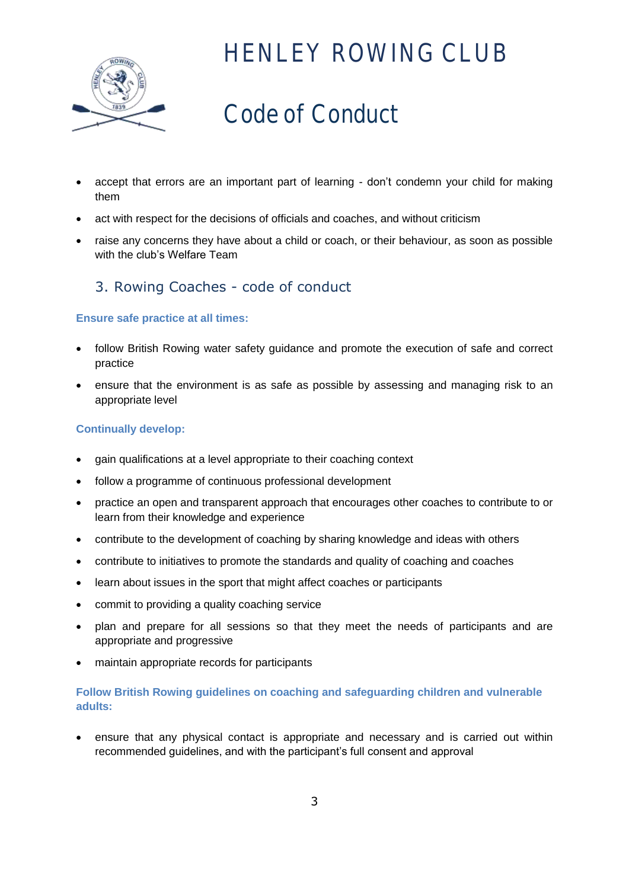

# Code of Conduct

- accept that errors are an important part of learning don't condemn your child for making them
- act with respect for the decisions of officials and coaches, and without criticism
- raise any concerns they have about a child or coach, or their behaviour, as soon as possible with the club's Welfare Team

### 3. Rowing Coaches - code of conduct

#### **Ensure safe practice at all times:**

- follow British Rowing water safety guidance and promote the execution of safe and correct practice
- ensure that the environment is as safe as possible by assessing and managing risk to an appropriate level

#### **Continually develop:**

- gain qualifications at a level appropriate to their coaching context
- follow a programme of continuous professional development
- practice an open and transparent approach that encourages other coaches to contribute to or learn from their knowledge and experience
- contribute to the development of coaching by sharing knowledge and ideas with others
- contribute to initiatives to promote the standards and quality of coaching and coaches
- learn about issues in the sport that might affect coaches or participants
- commit to providing a quality coaching service
- plan and prepare for all sessions so that they meet the needs of participants and are appropriate and progressive
- maintain appropriate records for participants

#### **Follow British Rowing guidelines on coaching and safeguarding children and vulnerable adults:**

 ensure that any physical contact is appropriate and necessary and is carried out within recommended guidelines, and with the participant's full consent and approval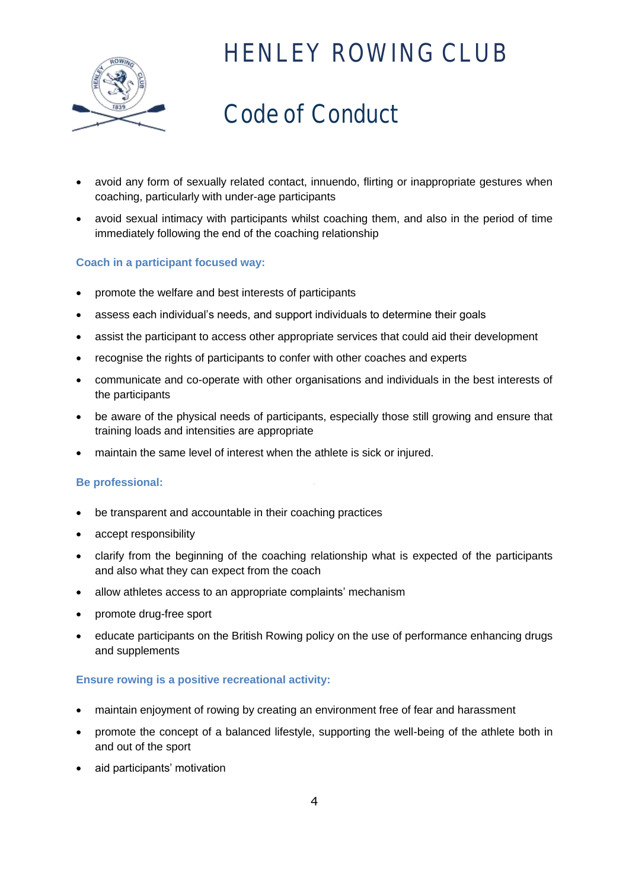

# Code of Conduct

- avoid any form of sexually related contact, innuendo, flirting or inappropriate gestures when coaching, particularly with under-age participants
- avoid sexual intimacy with participants whilst coaching them, and also in the period of time immediately following the end of the coaching relationship

#### **Coach in a participant focused way:**

- promote the welfare and best interests of participants
- assess each individual's needs, and support individuals to determine their goals
- assist the participant to access other appropriate services that could aid their development
- recognise the rights of participants to confer with other coaches and experts
- communicate and co-operate with other organisations and individuals in the best interests of the participants
- be aware of the physical needs of participants, especially those still growing and ensure that training loads and intensities are appropriate
- maintain the same level of interest when the athlete is sick or injured.

#### **Be professional:**

- be transparent and accountable in their coaching practices
- accept responsibility
- clarify from the beginning of the coaching relationship what is expected of the participants and also what they can expect from the coach
- allow athletes access to an appropriate complaints' mechanism
- promote drug-free sport
- educate participants on the British Rowing policy on the use of performance enhancing drugs and supplements

#### **Ensure rowing is a positive recreational activity:**

- maintain enjoyment of rowing by creating an environment free of fear and harassment
- promote the concept of a balanced lifestyle, supporting the well-being of the athlete both in and out of the sport
- aid participants' motivation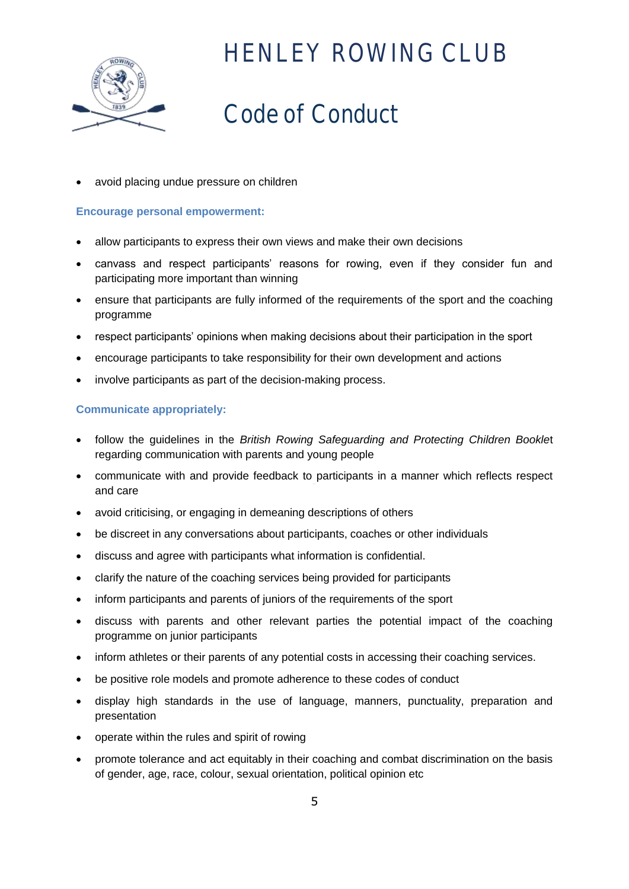

# Code of Conduct

avoid placing undue pressure on children

#### **Encourage personal empowerment:**

- allow participants to express their own views and make their own decisions
- canvass and respect participants' reasons for rowing, even if they consider fun and participating more important than winning
- ensure that participants are fully informed of the requirements of the sport and the coaching programme
- respect participants' opinions when making decisions about their participation in the sport
- encourage participants to take responsibility for their own development and actions
- involve participants as part of the decision-making process.

#### **Communicate appropriately:**

- follow the guidelines in the *British Rowing Safeguarding and Protecting Children Bookle*t regarding communication with parents and young people
- communicate with and provide feedback to participants in a manner which reflects respect and care
- avoid criticising, or engaging in demeaning descriptions of others
- be discreet in any conversations about participants, coaches or other individuals
- discuss and agree with participants what information is confidential.
- clarify the nature of the coaching services being provided for participants
- inform participants and parents of juniors of the requirements of the sport
- discuss with parents and other relevant parties the potential impact of the coaching programme on junior participants
- inform athletes or their parents of any potential costs in accessing their coaching services.
- be positive role models and promote adherence to these codes of conduct
- display high standards in the use of language, manners, punctuality, preparation and presentation
- operate within the rules and spirit of rowing
- promote tolerance and act equitably in their coaching and combat discrimination on the basis of gender, age, race, colour, sexual orientation, political opinion etc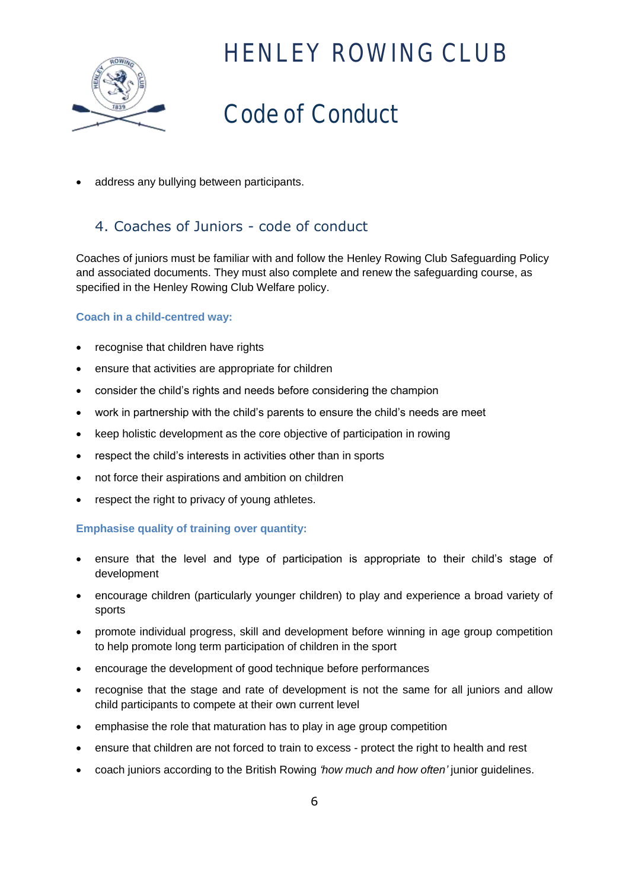

## Code of Conduct

address any bullying between participants.

### 4. Coaches of Juniors - code of conduct

Coaches of juniors must be familiar with and follow the Henley Rowing Club Safeguarding Policy and associated documents. They must also complete and renew the safeguarding course, as specified in the Henley Rowing Club Welfare policy.

#### **Coach in a child-centred way:**

- recognise that children have rights
- ensure that activities are appropriate for children
- consider the child's rights and needs before considering the champion
- work in partnership with the child's parents to ensure the child's needs are meet
- keep holistic development as the core objective of participation in rowing
- respect the child's interests in activities other than in sports
- not force their aspirations and ambition on children
- respect the right to privacy of young athletes.

#### **Emphasise quality of training over quantity:**

- ensure that the level and type of participation is appropriate to their child's stage of development
- encourage children (particularly younger children) to play and experience a broad variety of sports
- promote individual progress, skill and development before winning in age group competition to help promote long term participation of children in the sport
- encourage the development of good technique before performances
- recognise that the stage and rate of development is not the same for all juniors and allow child participants to compete at their own current level
- emphasise the role that maturation has to play in age group competition
- ensure that children are not forced to train to excess protect the right to health and rest
- coach juniors according to the British Rowing *'how much and how often'* junior guidelines.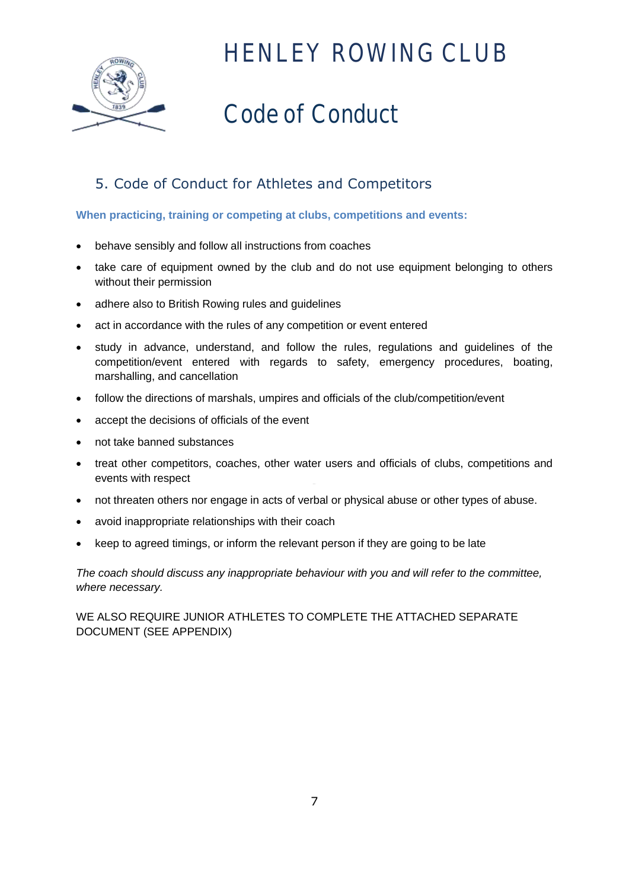

# Code of Conduct

### 5. Code of Conduct for Athletes and Competitors

#### **When practicing, training or competing at clubs, competitions and events:**

- behave sensibly and follow all instructions from coaches
- take care of equipment owned by the club and do not use equipment belonging to others without their permission
- adhere also to British Rowing rules and guidelines
- act in accordance with the rules of any competition or event entered
- study in advance, understand, and follow the rules, regulations and guidelines of the competition/event entered with regards to safety, emergency procedures, boating, marshalling, and cancellation
- follow the directions of marshals, umpires and officials of the club/competition/event
- accept the decisions of officials of the event
- not take banned substances
- treat other competitors, coaches, other water users and officials of clubs, competitions and events with respect
- not threaten others nor engage in acts of verbal or physical abuse or other types of abuse.
- avoid inappropriate relationships with their coach
- keep to agreed timings, or inform the relevant person if they are going to be late

*The coach should discuss any inappropriate behaviour with you and will refer to the committee, where necessary.*

WE ALSO REQUIRE JUNIOR ATHLETES TO COMPLETE THE ATTACHED SEPARATE DOCUMENT (SEE APPENDIX)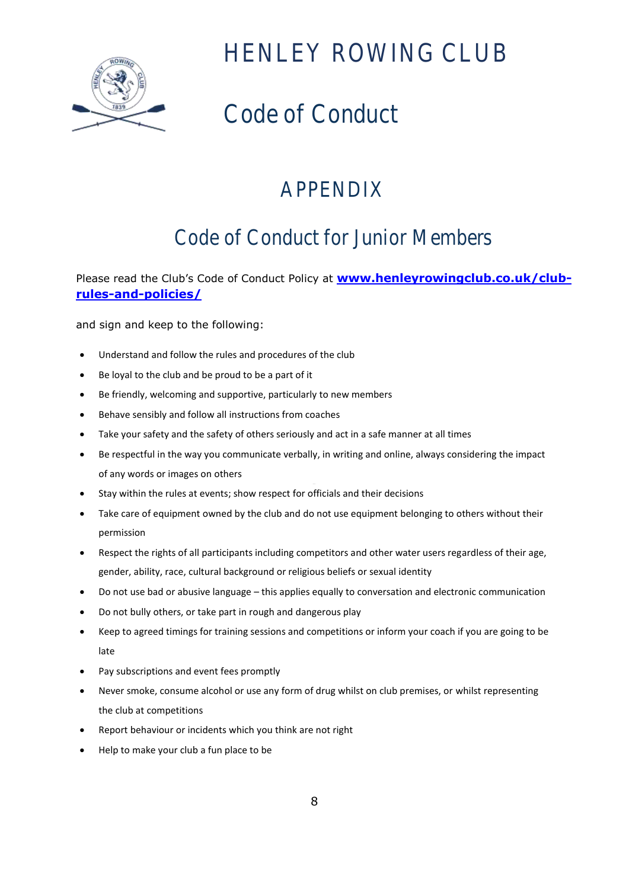

# Code of Conduct

### APPENDIX

### Code of Conduct for Junior Members

Please read the Club's Code of Conduct Policy at **[www.henleyrowingclub.co.uk/club](http://www.henleyrowingclub.co.uk/club-rules-and-policies/)[rules-and-policies/](http://www.henleyrowingclub.co.uk/club-rules-and-policies/)**

and sign and keep to the following:

- Understand and follow the rules and procedures of the club
- Be loyal to the club and be proud to be a part of it
- Be friendly, welcoming and supportive, particularly to new members
- Behave sensibly and follow all instructions from coaches
- Take your safety and the safety of others seriously and act in a safe manner at all times
- Be respectful in the way you communicate verbally, in writing and online, always considering the impact of any words or images on others
- Stay within the rules at events; show respect for officials and their decisions
- Take care of equipment owned by the club and do not use equipment belonging to others without their permission
- Respect the rights of all participants including competitors and other water users regardless of their age, gender, ability, race, cultural background or religious beliefs or sexual identity
- Do not use bad or abusive language this applies equally to conversation and electronic communication
- Do not bully others, or take part in rough and dangerous play
- Keep to agreed timings for training sessions and competitions or inform your coach if you are going to be late
- Pay subscriptions and event fees promptly
- Never smoke, consume alcohol or use any form of drug whilst on club premises, or whilst representing the club at competitions
- Report behaviour or incidents which you think are not right
- Help to make your club a fun place to be